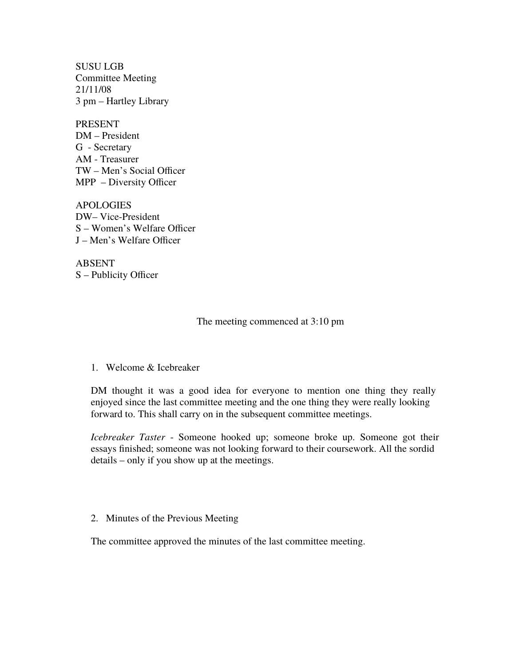SUSU LGB Committee Meeting 21/11/08 3 pm – Hartley Library

PRESENT DM – President G - Secretary AM - Treasurer TW – Men's Social Officer MPP – Diversity Officer

APOLOGIES DW– Vice-President S – Women's Welfare Officer J – Men's Welfare Officer

ABSENT S – Publicity Officer

The meeting commenced at 3:10 pm

1. Welcome & Icebreaker

DM thought it was a good idea for everyone to mention one thing they really enjoyed since the last committee meeting and the one thing they were really looking forward to. This shall carry on in the subsequent committee meetings.

*Icebreaker Taster* - Someone hooked up; someone broke up. Someone got their essays finished; someone was not looking forward to their coursework. All the sordid details – only if you show up at the meetings.

2. Minutes of the Previous Meeting

The committee approved the minutes of the last committee meeting.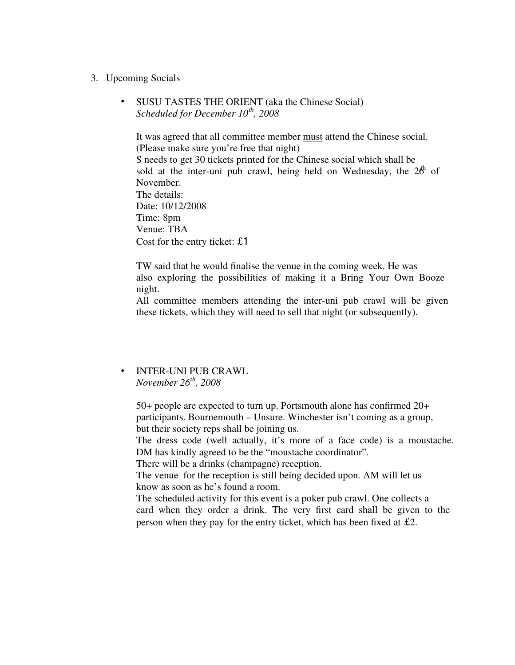- 3. Upcoming Socials
	- SUSU TASTES THE ORIENT (aka the Chinese Social) *Scheduled for December 10th, 2008*

It was agreed that all committee member must attend the Chinese social. (Please make sure you're free that night) S needs to get 30 tickets printed for the Chinese social which shall be sold at the inter-uni pub crawl, being held on Wednesday, the  $26<sup>h</sup>$  of November. The details: Date: 10/12/2008 Time: 8pm Venue: TBA Cost for the entry ticket: £1

TW said that he would finalise the venue in the coming week. He was also exploring the possibilities of making it a Bring Your Own Booze night.

All committee members attending the inter-uni pub crawl will be given these tickets, which they will need to sell that night (or subsequently).

## • INTER-UNI PUB CRAWL *November 26th, 2008*

50+ people are expected to turn up. Portsmouth alone has confirmed 20+ participants. Bournemouth – Unsure. Winchester isn't coming as a group, but their society reps shall be joining us.

The dress code (well actually, it's more of a face code) is a moustache. DM has kindly agreed to be the "moustache coordinator".

There will be a drinks (champagne) reception.

The venue for the reception is still being decided upon. AM will let us know as soon as he's found a room.

The scheduled activity for this event is a poker pub crawl. One collects a card when they order a drink. The very first card shall be given to the person when they pay for the entry ticket, which has been fixed at £2.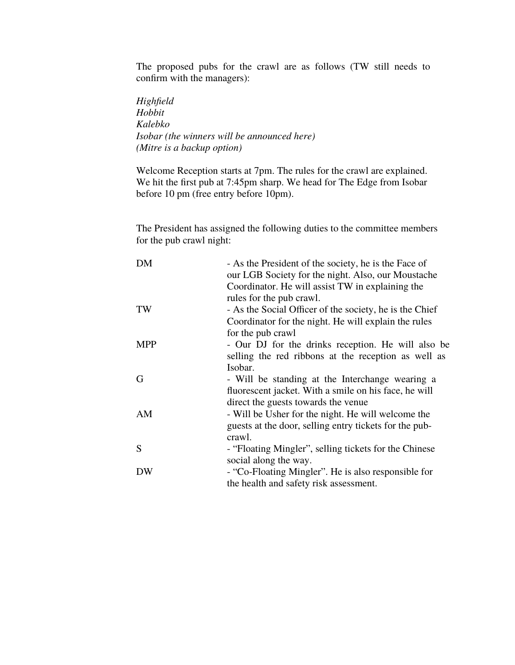The proposed pubs for the crawl are as follows (TW still needs to confirm with the managers):

*Highfield Hobbit Kalebko Isobar (the winners will be announced here) (Mitre is a backup option)* 

Welcome Reception starts at 7pm. The rules for the crawl are explained. We hit the first pub at 7:45pm sharp. We head for The Edge from Isobar before 10 pm (free entry before 10pm).

The President has assigned the following duties to the committee members for the pub crawl night:

| DM         | - As the President of the society, he is the Face of    |
|------------|---------------------------------------------------------|
|            | our LGB Society for the night. Also, our Moustache      |
|            | Coordinator. He will assist TW in explaining the        |
|            | rules for the pub crawl.                                |
| TW         | - As the Social Officer of the society, he is the Chief |
|            | Coordinator for the night. He will explain the rules    |
|            | for the pub crawl                                       |
| <b>MPP</b> | - Our DJ for the drinks reception. He will also be      |
|            | selling the red ribbons at the reception as well as     |
|            | Isobar.                                                 |
| G          | - Will be standing at the Interchange wearing a         |
|            | fluorescent jacket. With a smile on his face, he will   |
|            | direct the guests towards the venue                     |
| AM         | - Will be Usher for the night. He will welcome the      |
|            | guests at the door, selling entry tickets for the pub-  |
|            | crawl.                                                  |
| S          | - "Floating Mingler", selling tickets for the Chinese   |
|            | social along the way.                                   |
| DW         | - "Co-Floating Mingler". He is also responsible for     |
|            | the health and safety risk assessment.                  |